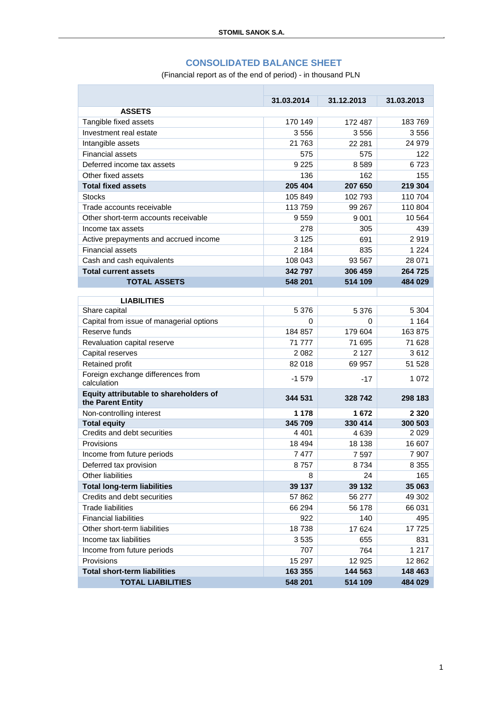#### **CONSOLIDATED BALANCE SHEET**

(Financial report as of the end of period) - in thousand PLN

n.

| <b>ASSETS</b>                                               | 31.03.2014 | 31.12.2013        | 31.03.2013     |
|-------------------------------------------------------------|------------|-------------------|----------------|
| Tangible fixed assets                                       | 170 149    | 172 487           | 183769         |
| Investment real estate                                      | 3556       | 3556              | 3556           |
| Intangible assets                                           | 21 763     | 22 28 1           | 24 979         |
|                                                             |            |                   |                |
| <b>Financial assets</b>                                     | 575        | 575               | 122            |
| Deferred income tax assets                                  | 9 2 2 5    | 8589              | 6723           |
| Other fixed assets                                          | 136        | 162               | 155            |
| <b>Total fixed assets</b>                                   | 205 404    | 207 650           | 219 304        |
| <b>Stocks</b>                                               | 105 849    | 102 793           | 110 704        |
| Trade accounts receivable                                   | 113759     | 99 267            | 110 804        |
| Other short-term accounts receivable                        | 9559       | 9 0 0 1           | 10 5 64        |
| Income tax assets                                           | 278        | 305               | 439            |
| Active prepayments and accrued income                       | 3 1 2 5    | 691               | 2919           |
| <b>Financial assets</b>                                     | 2 1 8 4    | 835               | 1 2 2 4        |
| Cash and cash equivalents                                   | 108 043    | 93 567            | 28 071         |
| <b>Total current assets</b>                                 | 342797     | 306 459           | 264 725        |
| <b>TOTAL ASSETS</b>                                         | 548 201    | 514 109           | 484 029        |
|                                                             |            |                   |                |
| <b>LIABILITIES</b><br>Share capital                         | 5 3 7 6    | 5 3 7 6           | 5 3 0 4        |
| Capital from issue of managerial options                    | 0          | 0                 | 1 1 6 4        |
| Reserve funds                                               | 184 857    | 179 604           | 163875         |
|                                                             | 71 777     |                   |                |
| Revaluation capital reserve                                 | 2 082      | 71 695<br>2 1 2 7 | 71 628<br>3612 |
| Capital reserves                                            | 82 018     |                   |                |
| Retained profit                                             |            | 69 957            | 51 528         |
| Foreign exchange differences from<br>calculation            | $-1579$    | -17               | 1 072          |
| Equity attributable to shareholders of<br>the Parent Entity | 344 531    | 328742            | 298 183        |
| Non-controlling interest                                    | 1 178      | 1672              | 2 3 2 0        |
| <b>Total equity</b>                                         | 345 709    | 330 414           | 300 503        |
| Credits and debt securities                                 | 4 401      | 4639              | 2029           |
| Provisions                                                  | 18 4 94    | 18 138            | 16 607         |
| Income from future periods                                  | 7477       | 7597              | 7 907          |
| Deferred tax provision                                      | 8757       | 8734              | 8 3 5 5        |
| Other liabilities                                           | 8          | 24                | 165            |
| <b>Total long-term liabilities</b>                          | 39 137     | 39 132            | 35 063         |
| Credits and debt securities                                 | 57 862     | 56 277            | 49 302         |
| <b>Trade liabilities</b>                                    | 66 294     | 56 178            | 66 031         |
| <b>Financial liabilities</b>                                | 922        | 140               | 495            |
| Other short-term liabilities                                | 18738      | 17 624            | 17725          |
| Income tax liabilities                                      | 3535       | 655               | 831            |
| Income from future periods                                  | 707        | 764               | 1 217          |
| Provisions                                                  | 15 297     | 12 9 25           | 12 862         |
| <b>Total short-term liabilities</b>                         | 163 355    | 144 563           | 148 463        |
| <b>TOTAL LIABILITIES</b>                                    | 548 201    | 514 109           | 484 029        |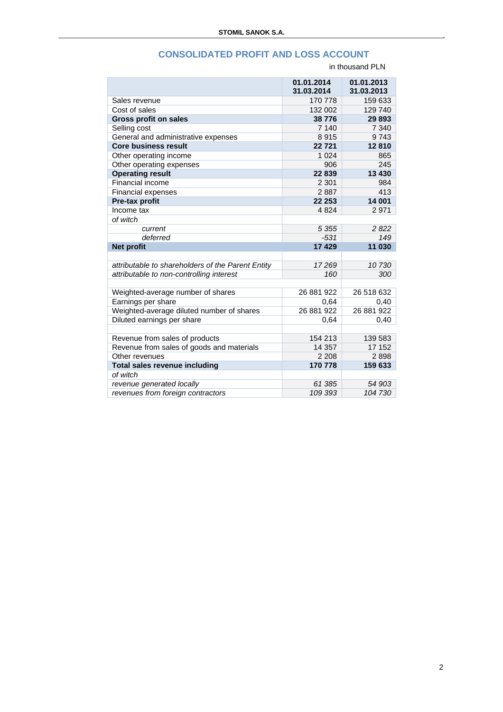## **CONSOLIDATED PROFIT AND LOSS ACCOUNT**

|                                                   | in thousand PLN          |                          |
|---------------------------------------------------|--------------------------|--------------------------|
|                                                   | 01.01.2014<br>31.03.2014 | 01.01.2013<br>31.03.2013 |
| Sales revenue                                     | 170 778                  | 159 633                  |
| Cost of sales                                     | 132 002                  | 129 740                  |
| <b>Gross profit on sales</b>                      | 38776                    | 29893                    |
| Selling cost                                      | 7 140                    | 7 3 4 0                  |
| General and administrative expenses               | 8915                     | 9743                     |
| <b>Core business result</b>                       | 22721                    | 12810                    |
| Other operating income                            | 1 0 2 4                  | 865                      |
| Other operating expenses                          | 906                      | 245                      |
| <b>Operating result</b>                           | 22839                    | 13 4 30                  |
| Financial income                                  | 2 3 0 1                  | 984                      |
| <b>Financial expenses</b>                         | 2887                     | 413                      |
| Pre-tax profit                                    | 22 253                   | 14 001                   |
| Income tax                                        | 4 8 24                   | 2971                     |
| of witch                                          |                          |                          |
| current                                           | 5 3 5 5                  | 2822                     |
| deferred                                          | $-531$                   | 149                      |
| <b>Net profit</b>                                 | 17 4 29                  | 11 030                   |
|                                                   |                          |                          |
| attributable to shareholders of the Parent Entity | 17269                    | 10730                    |
| attributable to non-controlling interest          | 160                      | 300                      |
|                                                   |                          |                          |
| Weighted-average number of shares                 | 26 881 922               | 26 518 632               |
| Earnings per share                                | 0,64                     | 0,40                     |
| Weighted-average diluted number of shares         | 26 881 922               | 26 881 922               |
| Diluted earnings per share                        | 0,64                     | 0,40                     |
|                                                   |                          |                          |
| Revenue from sales of products                    | 154 213                  | 139 583                  |
| Revenue from sales of goods and materials         | 14 3 5 7                 | 17 152                   |
| Other revenues                                    | 2 2 0 8                  | 2898                     |
| <b>Total sales revenue including</b>              | 170 778                  | 159 633                  |
| of witch                                          |                          |                          |
| revenue generated locally                         | 61 385                   | 54 903                   |
| revenues from foreign contractors                 | 109 393                  | 104 730                  |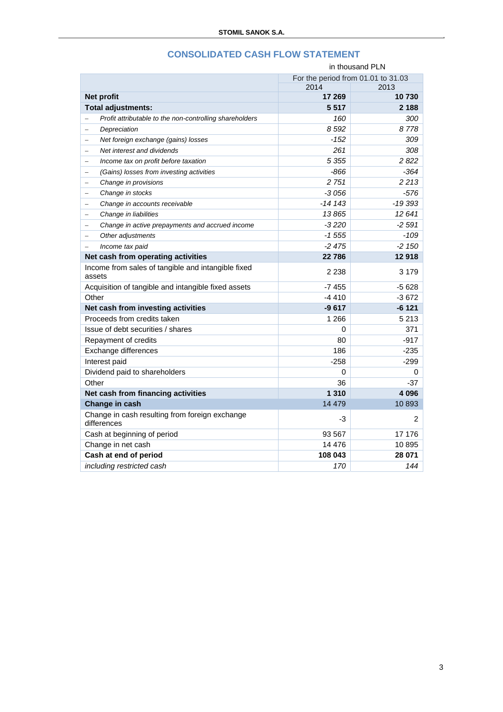|                                                               | in thousand PLN                    |          |
|---------------------------------------------------------------|------------------------------------|----------|
|                                                               | For the period from 01.01 to 31.03 |          |
|                                                               | 2014                               | 2013     |
| Net profit                                                    | 17 269                             | 10730    |
| Total adjustments:                                            | 5517                               | 2 188    |
| Profit attributable to the non-controlling shareholders       | 160                                | 300      |
| Depreciation<br>$\equiv$                                      | 8 5 9 2                            | 8778     |
| Net foreign exchange (gains) losses<br>$\equiv$               | $-152$                             | 309      |
| Net interest and dividends<br>$\equiv$                        | 261                                | 308      |
| Income tax on profit before taxation<br>$\equiv$              | 5 3 5 5                            | 2 8 2 2  |
| (Gains) losses from investing activities<br>$\qquad \qquad -$ | -866                               | -364     |
| Change in provisions<br>$\qquad \qquad =$                     | 2 751                              | 2213     |
| Change in stocks<br>$\equiv$                                  | -3 056                             | -576     |
| Change in accounts receivable<br>$\overline{\phantom{a}}$     | -14 143                            | $-19393$ |
| Change in liabilities<br>$\equiv$                             | 13865                              | 12 641   |
| Change in active prepayments and accrued income<br>$\equiv$   | $-3220$                            | $-2.591$ |
| Other adjustments                                             | $-1555$                            | $-109$   |
| Income tax paid                                               | $-2475$                            | $-2150$  |
| Net cash from operating activities                            | 22 786                             | 12918    |
| Income from sales of tangible and intangible fixed<br>assets  | 2 2 3 8                            | 3 1 7 9  |
| Acquisition of tangible and intangible fixed assets           | $-7455$                            | $-5628$  |
| Other                                                         | $-4410$                            | -3672    |
| Net cash from investing activities                            | $-9617$                            | $-6121$  |
| Proceeds from credits taken                                   | 1 2 6 6                            | 5 2 1 3  |
| Issue of debt securities / shares                             | 0                                  | 371      |
| Repayment of credits                                          | 80                                 | $-917$   |
| Exchange differences                                          | 186                                | $-235$   |
| Interest paid                                                 | $-258$                             | $-299$   |
| Dividend paid to shareholders                                 | 0                                  | 0        |
| Other                                                         | 36                                 | -37      |
| Net cash from financing activities                            | 1 3 1 0                            | 4 0 9 6  |
| Change in cash                                                | 14 4 79                            | 10893    |
| Change in cash resulting from foreign exchange<br>differences | -3                                 | 2        |
| Cash at beginning of period                                   | 93 567                             | 17 176   |
| Change in net cash                                            | 14 4 7 6                           | 10895    |
| Cash at end of period                                         | 108 043                            | 28 071   |
| including restricted cash                                     | 170                                | 144      |

## **CONSOLIDATED CASH FLOW STATEMENT**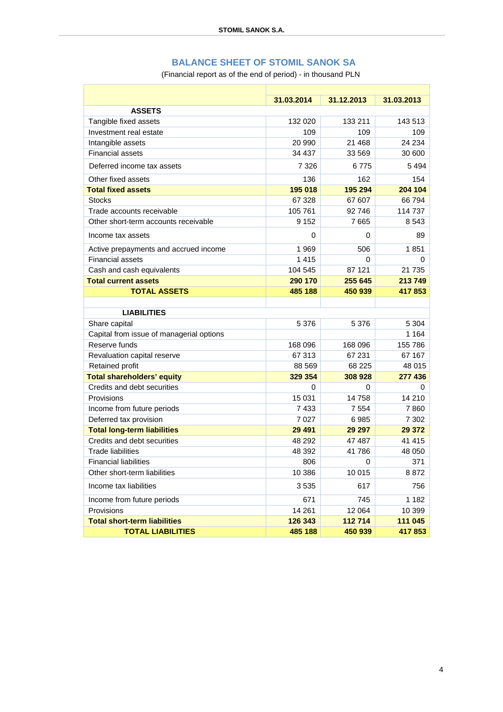# **BALANCE SHEET OF STOMIL SANOK SA**

(Financial report as of the end of period) - in thousand PLN

r

|                                          | 31.03.2014 | 31.12.2013  | 31.03.2013 |  |
|------------------------------------------|------------|-------------|------------|--|
| <b>ASSETS</b>                            |            |             |            |  |
| Tangible fixed assets                    | 132 020    | 133 211     | 143 513    |  |
| Investment real estate                   | 109        | 109         | 109        |  |
| Intangible assets                        | 20 990     | 21 4 68     | 24 234     |  |
| <b>Financial assets</b>                  | 34 437     | 33 569      | 30 600     |  |
| Deferred income tax assets               | 7 3 2 6    | 6775        | 5 4 9 4    |  |
| Other fixed assets                       | 136        | 162         | 154        |  |
| <b>Total fixed assets</b>                | 195 018    | 195 294     | 204 104    |  |
| <b>Stocks</b>                            | 67 328     | 67 607      | 66794      |  |
| Trade accounts receivable                | 105 761    | 92746       | 114 737    |  |
| Other short-term accounts receivable     | 9 1 5 2    | 7665        | 8 5 4 3    |  |
| Income tax assets                        | 0          | 0           | 89         |  |
| Active prepayments and accrued income    | 1969       | 506         | 1851       |  |
| <b>Financial assets</b>                  | 1415       | $\Omega$    | 0          |  |
| Cash and cash equivalents                | 104 545    | 87 121      | 21 7 35    |  |
| <b>Total current assets</b>              | 290 170    | 255 645     | 213749     |  |
| <b>TOTAL ASSETS</b>                      | 485 188    | 450 939     | 417853     |  |
|                                          |            |             |            |  |
| <b>LIABILITIES</b>                       |            |             |            |  |
| Share capital                            | 5 3 7 6    | 5 3 7 6     | 5 3 0 4    |  |
| Capital from issue of managerial options |            |             | 1 1 6 4    |  |
| Reserve funds                            | 168 096    | 168 096     | 155 786    |  |
| Revaluation capital reserve              | 67 313     | 67 231      | 67 167     |  |
| Retained profit                          | 88 569     | 68 225      | 48 015     |  |
| <b>Total shareholders' equity</b>        | 329 354    | 308 928     | 277 436    |  |
| Credits and debt securities              | 0          | 0           | 0          |  |
| Provisions                               | 15 0 31    | 14758       | 14 210     |  |
| Income from future periods               | 7433       | 7 5 5 4     | 7860       |  |
| Deferred tax provision                   | 7 0 2 7    | 6985        | 7 3 0 2    |  |
| <b>Total long-term liabilities</b>       | 29 4 91    | 29 29 7     | 29 372     |  |
| Credits and debt securities              | 48 29 2    | 47 487      | 41 415     |  |
| <b>Trade liabilities</b>                 | 48 392     | 41786       | 48 050     |  |
| <b>Financial liabilities</b>             | 806        | $\mathbf 0$ | 371        |  |
| Other short-term liabilities             | 10 386     | 10 015      | 8872       |  |
| Income tax liabilities                   | 3535       | 617         | 756        |  |
| Income from future periods               | 671        | 745         | 1 1 8 2    |  |
| Provisions                               | 14 261     | 12 064      | 10 399     |  |
| <b>Total short-term liabilities</b>      | 126 343    | 112714      | 111 045    |  |
| <b>TOTAL LIABILITIES</b>                 | 485 188    | 450 939     | 417853     |  |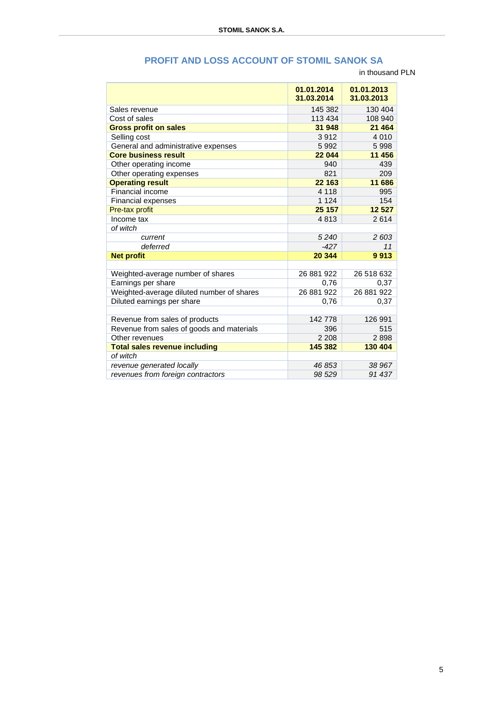|  | PROFIT AND LOSS ACCOUNT OF STOMIL SANOK SA |  |  |
|--|--------------------------------------------|--|--|
|--|--------------------------------------------|--|--|

in thousand PLN

|                                           | 01.01.2014<br>31.03.2014 | 01.01.2013<br>31.03.2013 |
|-------------------------------------------|--------------------------|--------------------------|
|                                           |                          |                          |
| Sales revenue                             | 145 382                  | 130 404                  |
| Cost of sales                             | 113 434                  | 108 940                  |
| <b>Gross profit on sales</b>              | 31 948                   | 21 4 64                  |
| Selling cost                              | 3912                     | 4 0 1 0                  |
| General and administrative expenses       | 5992                     | 5998                     |
| <b>Core business result</b>               | 22 044                   | 11 456                   |
| Other operating income                    | 940                      | 439                      |
| Other operating expenses                  | 821                      | 209                      |
| <b>Operating result</b>                   | 22 163                   | 11 686                   |
| Financial income                          | 4 1 1 8                  | 995                      |
| <b>Financial expenses</b>                 | 1 1 2 4                  | 154                      |
| Pre-tax profit                            | 25 157                   | 12 5 27                  |
| Income tax                                | 4813                     | 2614                     |
| of witch                                  |                          |                          |
| current                                   | 5240                     | 2 603                    |
| deferred                                  | $-427$                   | 11                       |
| <b>Net profit</b>                         | 20 344                   | 9913                     |
|                                           |                          |                          |
| Weighted-average number of shares         | 26 881 922               | 26 518 632               |
| Earnings per share                        | 0,76                     | 0,37                     |
| Weighted-average diluted number of shares | 26 881 922               | 26 881 922               |
| Diluted earnings per share                | 0,76                     | 0,37                     |
|                                           |                          |                          |
| Revenue from sales of products            | 142778                   | 126 991                  |
| Revenue from sales of goods and materials | 396                      | 515                      |
| Other revenues                            | 2 2 0 8                  | 2898                     |
| <b>Total sales revenue including</b>      | 145 382                  | 130 404                  |
| of witch                                  |                          |                          |
| revenue generated locally                 | 46 853                   | 38 967                   |
| revenues from foreign contractors         | 98 529                   | 91 437                   |